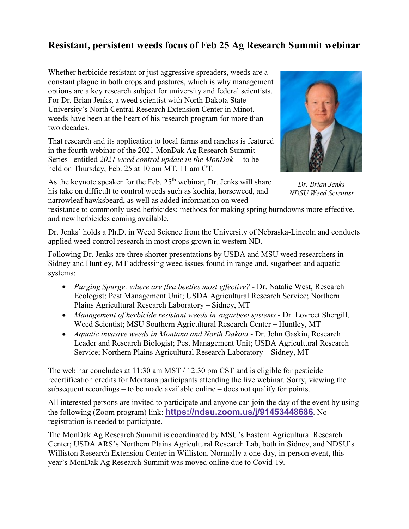## **Resistant, persistent weeds focus of Feb 25 Ag Research Summit webinar**

Whether herbicide resistant or just aggressive spreaders, weeds are a constant plague in both crops and pastures, which is why management options are a key research subject for university and federal scientists. For Dr. Brian Jenks, a weed scientist with North Dakota State University's North Central Research Extension Center in Minot, weeds have been at the heart of his research program for more than two decades.

That research and its application to local farms and ranches is featured in the fourth webinar of the 2021 MonDak Ag Research Summit Series– entitled *2021 weed control update in the MonDak* – to be held on Thursday, Feb. 25 at 10 am MT, 11 am CT.

As the keynote speaker for the Feb.  $25<sup>th</sup>$  webinar, Dr. Jenks will share his take on difficult to control weeds such as kochia, horseweed, and narrowleaf hawksbeard, as well as added information on weed



*Dr. Brian Jenks NDSU Weed Scientist*

resistance to commonly used herbicides; methods for making spring burndowns more effective, and new herbicides coming available.

Dr. Jenks' holds a Ph.D. in Weed Science from the University of Nebraska-Lincoln and conducts applied weed control research in most crops grown in western ND.

Following Dr. Jenks are three shorter presentations by USDA and MSU weed researchers in Sidney and Huntley, MT addressing weed issues found in rangeland, sugarbeet and aquatic systems:

- *Purging Spurge: where are flea beetles most effective?* Dr. Natalie West, Research Ecologist; Pest Management Unit; USDA Agricultural Research Service; Northern Plains Agricultural Research Laboratory – Sidney, MT
- *Management of herbicide resistant weeds in sugarbeet systems* Dr. Lovreet Shergill, Weed Scientist; MSU Southern Agricultural Research Center – Huntley, MT
- *Aquatic invasive weeds in Montana and North Dakota* Dr. John Gaskin, Research Leader and Research Biologist; Pest Management Unit; USDA Agricultural Research Service; Northern Plains Agricultural Research Laboratory – Sidney, MT

The webinar concludes at 11:30 am MST / 12:30 pm CST and is eligible for pesticide recertification credits for Montana participants attending the live webinar. Sorry, viewing the subsequent recordings – to be made available online – does not qualify for points.

All interested persons are invited to participate and anyone can join the day of the event by using the following (Zoom program) link: **[https://ndsu.zoom.us/j/91453448686](https://gcc02.safelinks.protection.outlook.com/?url=https%3A%2F%2Fndsu.zoom.us%2Fj%2F91453448686&data=04%7C01%7C%7C22b3bbcaa7f2405cc9c208d8adbc6989%7Ced5b36e701ee4ebc867ee03cfa0d4697%7C0%7C0%7C637450372026386760%7CUnknown%7CTWFpbGZsb3d8eyJWIjoiMC4wLjAwMDAiLCJQIjoiV2luMzIiLCJBTiI6Ik1haWwiLCJXVCI6Mn0%3D%7C1000&sdata=Z%2BY0zr54CO6FF0UCIHT%2FyUV6FyJcHFWDgahaPlcKqF8%3D&reserved=0)**. No registration is needed to participate.

The MonDak Ag Research Summit is coordinated by MSU's Eastern Agricultural Research Center; USDA ARS's Northern Plains Agricultural Research Lab, both in Sidney, and NDSU's Williston Research Extension Center in Williston. Normally a one-day, in-person event, this year's MonDak Ag Research Summit was moved online due to Covid-19.